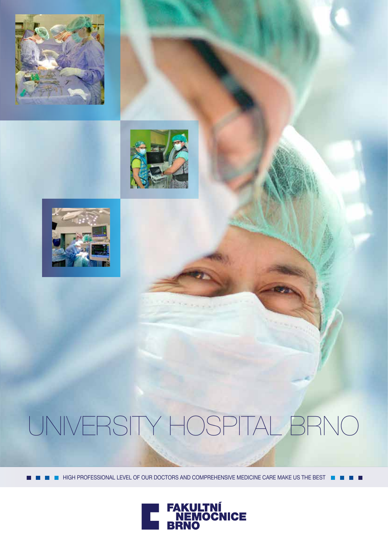





# UNIVERSITY HOSPITAL BRNO

 $\blacksquare$  HIGH PROFESSIONAL LEVEL OF OUR DOCTORS AND COMPREHENSIVE MEDICINE CARE MAKE US THE BEST  $\blacksquare$ 

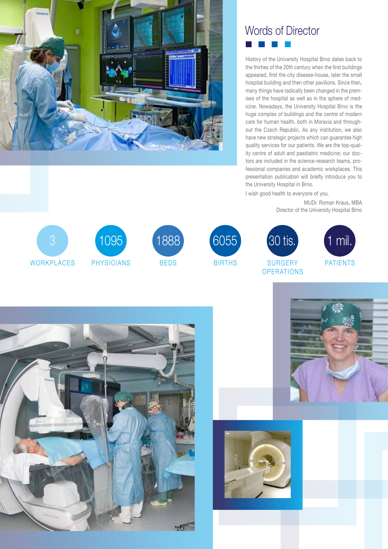

### Words of Director a kacamatan

History of the University Hospital Brno dates back to the thirties of the 20th century when the first buildings appeared, first the city disease-house, later the small hospital building and then other pavilions. Since then, many things have radically been changed in the premises of the hospital as well as in the sphere of medicine. Nowadays, the University Hospital Brno is the huge complex of buildings and the centre of modern care for human health, both in Moravia and throughout the Czech Republic. As any institution, we also have new strategic projects which can guarantee high quality services for our patients. We are the top-quality centre of adult and paediatric medicine; our doctors are included in the science-research teams, professional companies and academic workplaces. This presentation publication will briefly introduce you to the University Hospital in Brno.

I wish good health to everyone of you.

30 tis.

**SURGERY OPERATIONS** 

MUDr. Roman Kraus, MBA Director of the University Hospital Brno









BIRTHS





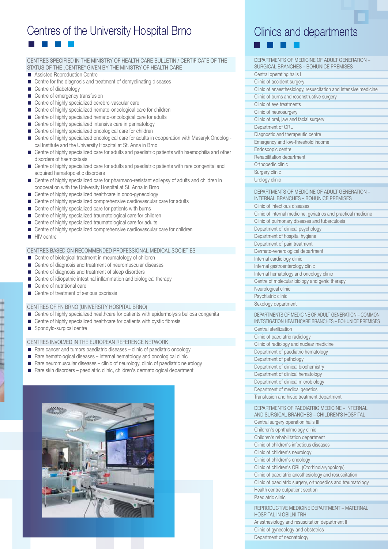# Centres of the University Hospital Brno

#### CENTRES SPECIFIED IN THE MINISTRY OF HEALTH CARE BULLETIN / CERTIFICATE OF THE STATUS OF THE "CENTRE" GIVEN BY THE MINISTRY OF HEALTH CARE

- Assisted Reproduction Centre
- Centre for the diagnosis and treatment of demyelinating diseases
- Centre of diabetology
- Centre of emergency transfusion
- Centre of highly specialized cerebro-vascular care
- Centre of highly specialized hemato-oncological care for children
- Centre of highly specialized hemato-oncological care for adults
- Centre of highly specialized intensive care in perinatology
- Centre of highly specialized oncological care for children
- Centre of highly specialized oncological care for adults in cooperation with Masaryk Oncological Institute and the University Hospital at St. Anna in Brno
- Centre of highly specialized care for adults and paediatric patients with haemophilia and other disorders of haemostasis
- Centre of highly specialized care for adults and paediatric patients with rare congenital and acquired hematopoietic disorders
- Centre of highly specialized care for pharmaco-resistant epilepsy of adults and children in cooperation with the University Hospital at St. Anna in Brno
- Centre of highly specialized healthcare in onco-gynecology
- Centre of highly specialized comprehensive cardiovascular care for adults
- Centre of highly specialized care for patients with burns
- Centre of highly specialized traumatological care for children
- Centre of highly specialized traumatological care for adults
- Centre of highly specialized comprehensive cardiovascular care for children
- **HIV** centre

#### CENTRES BASED ON RECOMMENDED PROFESSIONAL MEDICAL SOCIETIES

- Centre of biological treatment in rheumatology of children
- Centre of diagnosis and treatment of neuromuscular diseases
- Centre of diagnosis and treatment of sleep disorders
- Centre of idiopathic intestinal inflammation and biological therapy
- Centre of nutritional care
- Centre of treatment of serious psoriasis

#### CENTRES OF FN BRNO (UNIVERSITY HOSPITAL BRNO)

- Centre of highly specialized healthcare for patients with epidermolysis bullosa congenita
- Centre of highly specialized healthcare for patients with cystic fibrosis
- Spondylo-surgical centre

#### CENTRES INVOLVED IN THE EUROPEAN REFERENCE NETWORK

- Rare cancer and tumors paediatric diseases clinic of paediatric oncology
- Rare hematological diseases internal hematology and oncological clinic
- Rare neuromuscular diseases clinic of neurology, clinic of paediatric neurology
- Rare skin disorders paediatric clinic, children's dermatological department



# Clinics and departments

| DEPARTMENTS OF MEDICINE OF ADULT GENERATION -<br><b>SURGICAL BRANCHES - BOHUNICE PREMISES</b>                   |
|-----------------------------------------------------------------------------------------------------------------|
| Central operating halls I                                                                                       |
| Clinic of accident surgery                                                                                      |
| Clinic of anaesthesiology, resuscitation and intensive medicine                                                 |
| Clinic of burns and reconstructive surgery                                                                      |
| Clinic of eye treatments                                                                                        |
| Clinic of neurosurgery                                                                                          |
| Clinic of oral, jaw and facial surgery                                                                          |
| Department of ORL                                                                                               |
| Diagnostic and therapeutic centre                                                                               |
| Emergency and low-threshold income                                                                              |
| Endoscopic centre<br>Rehabilitation department                                                                  |
| Orthopedic clinic                                                                                               |
| Surgery clinic                                                                                                  |
| Urology clinic                                                                                                  |
|                                                                                                                 |
| DEPARTMENTS OF MEDICINE OF ADULT GENERATION -                                                                   |
| <b>INTERNAL BRANCHES - BOHUNICE PREMISES</b><br>Clinic of infectious diseases                                   |
|                                                                                                                 |
| Clinic of internal medicine, geriatrics and practical medicine<br>Clinic of pulmonary diseases and tuberculosis |
| Department of clinical psychology                                                                               |
| Department of hospital hygiene                                                                                  |
| Department of pain treatment                                                                                    |
| Dermato-venerological department                                                                                |
| Internal cardiology clinic                                                                                      |
| Internal gastroenterology clinic                                                                                |
| Internal hematology and oncology clinic                                                                         |
| Centre of molecular biology and genic therapy                                                                   |
| Neurological clinic                                                                                             |
| Psychiatric clinic                                                                                              |
| Sexology department                                                                                             |
|                                                                                                                 |
| DEPARTMENTS OF MEDICINE OF ADULT GENERATION - COMMON                                                            |
| <b>INVESTIGATION HEALTHCARE BRANCHES - BOHUNICE PREMISES</b>                                                    |
| Central sterilization                                                                                           |
| Clinic of paediatric radiology                                                                                  |
| Clinic of radiology and nuclear medicine                                                                        |
| Department of paediatric hematology                                                                             |
| Department of pathology                                                                                         |
| Department of clinical biochemistry                                                                             |
| Department of clinical hematology<br>Department of clinical microbiology                                        |
| Department of medical genetics                                                                                  |
| Transfusion and histic treatment department                                                                     |
|                                                                                                                 |
| DEPARTMENTS OF PAEDIATRIC MEDICINE - INTERNAL<br>AND SURGICAL BRANCHES - CHILDREN'S HOSPITAL                    |
| Central surgery operation halls III                                                                             |
| Children's ophthalmology clinic                                                                                 |
| Children's rehabilitation department                                                                            |
| Clinic of children's infectious diseases                                                                        |
| Clinic of children's neurology                                                                                  |
| Clinic of children's oncology                                                                                   |
| Clinic of children's ORL (Otorhinolaryngology)                                                                  |
| Clinic of paediatric anesthesiology and resuscitation                                                           |
| Clinic of paediatric surgery, orthopedics and traumatology                                                      |
| Health centre outpatient section                                                                                |
| Paediatric clinic                                                                                               |
| REPRODUCTIVE MEDICINE DEPARTMENT - MATERNAL                                                                     |
| <b>HOSPITAL IN OBILNI TRH</b>                                                                                   |
| Anesthesiology and resuscitation department II<br>Clinic of gynecology and obstetrics                           |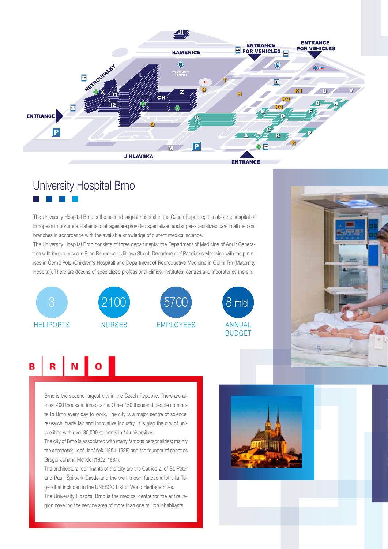

# University Hospital Brno

The University Hospital Brno is the second largest hospital in the Czech Republic; it is also the hospital of European importance. Patients of all ages are provided specialized and super-specialized care in all medical branches in accordance with the available knowledge of current medical science.

The University Hospital Brno consists of three departments: the Department of Medicine of Adult Generation with the premises in Brno Bohunice in Jihlava Street, Department of Paediatric Medicine with the premises in Černá Pole (Children's Hospital) and Department of Reproductive Medicine in Obilní Trh (Maternity Hospital). There are dozens of specialized professional clinics, institutes, centres and laboratories therein.





 $B \big| R \big| N \big| O \big|$ 

Brno is the second largest city in the Czech Republic. There are almost 400 thousand inhabitants. Other 150 thousand people commute to Brno every day to work. The city is a major centre of science, research, trade fair and innovative industry. It is also the city of universities with over 80,000 students in 14 universities.

The city of Brno is associated with many famous personalities; mainly the composer Leoš Janáček (1854-1928) and the founder of genetics Gregor Johann Mendel (1822-1884).

The architectural dominants of the city are the Cathedral of St. Peter and Paul, Špilberk Castle and the well-known functionalist villa Tugendhat included in the UNESCO List of World Heritage Sites.

The University Hospital Brno is the medical centre for the entire region covering the service area of more than one million inhabitants.

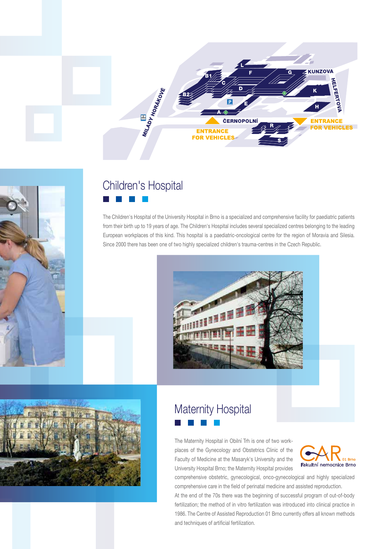



# Children's Hospital

The Children's Hospital of the University Hospital in Brno is a specialized and comprehensive facility for paediatric patients from their birth up to 19 years of age. The Children's Hospital includes several specialized centres belonging to the leading European workplaces of this kind. This hospital is a paediatric-oncological centre for the region of Moravia and Silesia. Since 2000 there has been one of two highly specialized children's trauma-centres in the Czech Republic.





### Maternity Hospital  $\sim$

The Maternity Hospital in Obilní Trh is one of two workplaces of the Gynecology and Obstetrics Clinic of the Faculty of Medicine at the Masaryk's University and the University Hospital Brno; the Maternity Hospital provides



comprehensive obstetric, gynecological, onco-gynecological and highly specialized comprehensive care in the field of perinatal medicine and assisted reproduction.

At the end of the 70s there was the beginning of successful program of out-of-body fertilization; the method of in vitro fertilization was introduced into clinical practice in 1986. The Centre of Assisted Reproduction 01 Brno currently offers all known methods and techniques of artificial fertilization.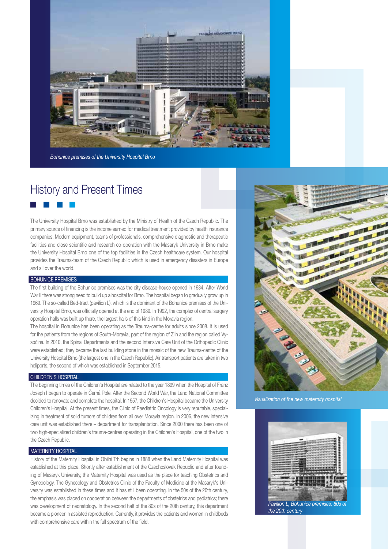

*Bohunice premises of the University Hospital Brno*

### History and Present Times

The University Hospital Brno was established by the Ministry of Health of the Czech Republic. The primary source of financing is the income earned for medical treatment provided by health insurance companies. Modern equipment, teams of professionals, comprehensive diagnostic and therapeutic facilities and close scientific and research co-operation with the Masaryk University in Brno make the University Hospital Brno one of the top facilities in the Czech healthcare system. Our hospital provides the Trauma-team of the Czech Republic which is used in emergency disasters in Europe and all over the world.

#### BOHUNICE PREMISES

The first building of the Bohunice premises was the city disease-house opened in 1934. After World War II there was strong need to build up a hospital for Brno. The hospital began to gradually grow up in 1969. The so-called Bed-tract (pavilion L), which is the dominant of the Bohunice premises of the University Hospital Brno, was officially opened at the end of 1989. In 1992, the complex of central surgery operation halls was built up there, the largest halls of this kind in the Moravia region.

The hospital in Bohunice has been operating as the Trauma-centre for adults since 2008. It is used for the patients from the regions of South-Moravia, part of the region of Zlín and the region called Vysočina. In 2010, the Spinal Departments and the second Intensive Care Unit of the Orthopedic Clinic were established; they became the last building stone in the mosaic of the new Trauma-centre of the University Hospital Brno (the largest one in the Czech Republic). Air transport patients are taken in two heliports, the second of which was established in September 2015.

#### CHILDREN'S HOSPITAL

The beginning times of the Children's Hospital are related to the year 1899 when the Hospital of Franz Joseph I began to operate in Černá Pole. After the Second World War, the Land National Committee decided to renovate and complete the hospital. In 1957, the Children's Hospital became the University Children's Hospital. At the present times, the Clinic of Paediatric Oncology is very reputable, specializing in treatment of solid tumors of children from all over Moravia region. In 2006, the new intensive care unit was established there – department for transplantation. Since 2000 there has been one of two high-specialized children's trauma-centres operating in the Children's Hospital, one of the two in the Czech Republic.

#### **MATERNITY HOSPITAL**

History of the Maternity Hospital in Obilní Trh begins in 1888 when the Land Maternity Hospital was established at this place. Shortly after establishment of the Czechoslovak Republic and after founding of Masaryk University, the Maternity Hospital was used as the place for teaching Obstetrics and Gynecology. The Gynecology and Obstetrics Clinic of the Faculty of Medicine at the Masaryk's University was established in these times and it has still been operating. In the 50s of the 20th century, the emphasis was placed on cooperation between the departments of obstetrics and pediatrics; there was development of neonatology. In the second half of the 80s of the 20th century, this department became a pioneer in assisted reproduction. Currently, it provides the patients and women in childbeds with comprehensive care within the full spectrum of the field.



*Visualization of the new maternity hospital*



*the 20th century*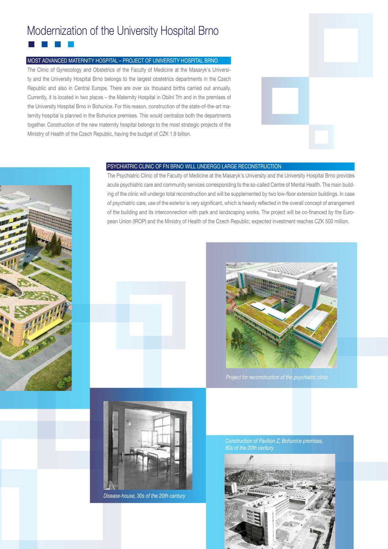# Modernization of the University Hospital Brno

#### MOST ADVANCED MATERNITY HOSPITAL – PROJECT OF UNIVERSITY HOSPITAL BRNO

The Clinic of Gynecology and Obstetrics of the Faculty of Medicine at the Masaryk's University and the University Hospital Brno belongs to the largest obstetrics departments in the Czech Republic and also in Central Europe. There are over six thousand births carried out annually. Currently, it is located in two places – the Maternity Hospital in Obilní Trh and in the premises of the University Hospital Brno in Bohunice. For this reason, construction of the state-of-the-art maternity hospital is planned in the Bohunice premises. This would centralize both the departments together. Construction of the new maternity hospital belongs to the most strategic projects of the Ministry of Health of the Czech Republic, having the budget of CZK 1.9 billion.





#### PSYCHIATRIC CLINIC OF FN BRNO WILL UNDERGO LARGE RECONSTRUCTION

The Psychiatric Clinic of the Faculty of Medicine at the Masaryk's University and the University Hospital Brno provides acute psychiatric care and community services corresponding to the so-called Centre of Mental Health. The main building of the clinic will undergo total reconstruction and will be supplemented by two low-floor extension buildings. In case of psychiatric care, use of the exterior is very significant, which is heavily reflected in the overall concept of arrangement of the building and its interconnection with park and landscaping works. The project will be co-financed by the European Union (IROP) and the Ministry of Health of the Czech Republic; expected investment reaches CZK 500 million.







*Disease-house, 30s of the 20th century*

*Construction of Pavilion Z, Bohunice premises,*